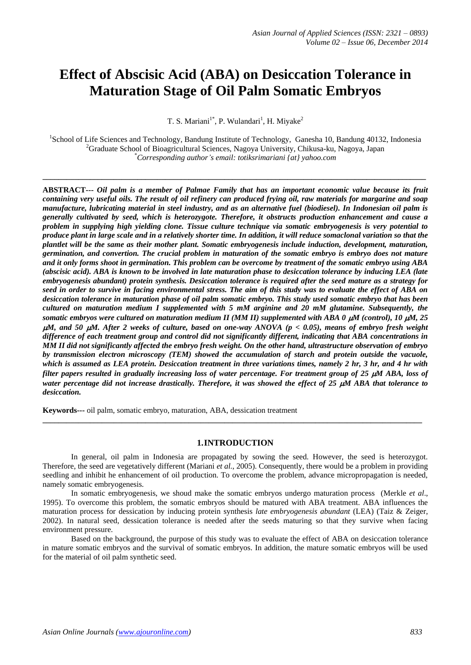# **Effect of Abscisic Acid (ABA) on Desiccation Tolerance in Maturation Stage of Oil Palm Somatic Embryos**

T. S. Mariani<sup>1\*</sup>, P. Wulandari<sup>1</sup>, H. Miyake<sup>2</sup>

<sup>1</sup>School of Life Sciences and Technology, Bandung Institute of Technology, Ganesha 10, Bandung 40132, Indonesia <sup>2</sup>Graduate School of Bioagricultural Sciences, Nagoya University, Chikusa-ku, Nagoya, Japan \**Corresponding author's email: totiksrimariani {at} yahoo.com*

**\_\_\_\_\_\_\_\_\_\_\_\_\_\_\_\_\_\_\_\_\_\_\_\_\_\_\_\_\_\_\_\_\_\_\_\_\_\_\_\_\_\_\_\_\_\_\_\_\_\_\_\_\_\_\_\_\_\_\_\_\_\_\_\_\_\_\_\_\_\_\_\_\_\_\_\_\_\_\_\_\_\_\_\_\_\_\_\_\_\_\_\_\_\_\_\_\_**

**ABSTRACT---** *Oil palm is a member of Palmae Family that has an important economic value because its fruit containing very useful oils. The result of oil refinery can produced frying oil, raw materials for margarine and soap manufacture, lubricating material in steel industry, and as an alternative fuel (biodiesel). In Indonesian oil palm is generally cultivated by seed, which is heterozygote. Therefore, it obstructs production enhancement and cause a problem in supplying high yielding clone. Tissue culture technique via somatic embryogenesis is very potential to produce plant in large scale and in a relatively shorter time. In addition, it will reduce somaclonal variation so that the plantlet will be the same as their mother plant. Somatic embryogenesis include induction, development, maturation, germination, and convertion. The crucial problem in maturation of the somatic embryo is embryo does not mature and it only forms shoot in germination. This problem can be overcome by treatment of the somatic embryo using ABA (abscisic acid). ABA is known to be involved in late maturation phase to desiccation tolerance by inducing LEA (late embryogenesis abundant) protein synthesis. Desiccation tolerance is required after the seed mature as a strategy for seed in order to survive in facing environmental stress. The aim of this study was to evaluate the effect of ABA on desiccation tolerance in maturation phase of oil palm somatic embryo. This study used somatic embryo that has been cultured on maturation medium I supplemented with 5 mM arginine and 20 mM glutamine. Subsequently, the somatic embryos were cultured on maturation medium II (MM II) supplemented with ABA 0*  $\mu$ *M (control), 10*  $\mu$ *M, 25 M, and 50 M. After 2 weeks of culture, based on one-way ANOVA (p < 0.05), means of embryo fresh weight difference of each treatment group and control did not significantly different, indicating that ABA concentrations in MM II did not significantly affected the embryo fresh weight. On the other hand, ultrastructure observation of embryo by transmission electron microscopy (TEM) showed the accumulation of starch and protein outside the vacuole, which is assumed as LEA protein. Desiccation treatment in three variations times, namely 2 hr, 3 hr, and 4 hr with filter papers resulted in gradually increasing loss of water percentage. For treatment group of 25 M ABA, loss of water percentage did not increase drastically. Therefore, it was showed the effect of 25 M ABA that tolerance to desiccation.* 

**Keywords---** oil palm, somatic embryo, maturation, ABA, dessication treatment

#### **1.INTRODUCTION**

**\_\_\_\_\_\_\_\_\_\_\_\_\_\_\_\_\_\_\_\_\_\_\_\_\_\_\_\_\_\_\_\_\_\_\_\_\_\_\_\_\_\_\_\_\_\_\_\_\_\_\_\_\_\_\_\_\_\_\_\_\_\_\_\_\_\_\_\_\_\_\_\_\_\_\_\_\_\_\_\_\_\_\_\_\_\_\_\_\_\_\_\_\_\_\_\_**

In general, oil palm in Indonesia are propagated by sowing the seed. However, the seed is heterozygot. Therefore, the seed are vegetatively different (Mariani *et al.*, 2005). Consequently, there would be a problem in providing seedling and inhibit he enhancement of oil production. To overcome the problem, advance micropropagation is needed, namely somatic embryogenesis.

In somatic embryogenesis, we shoud make the somatic embryos undergo maturation process (Merkle *et al*., 1995). To overcome this problem, the somatic embryos should be matured with ABA treatment. ABA influences the maturation process for dessication by inducing protein synthesis *late embryogenesis abundant* (LEA) (Taiz & Zeiger, 2002). In natural seed, dessication tolerance is needed after the seeds maturing so that they survive when facing environment pressure.

Based on the background, the purpose of this study was to evaluate the effect of ABA on desiccation tolerance in mature somatic embryos and the survival of somatic embryos. In addition, the mature somatic embryos will be used for the material of oil palm synthetic seed.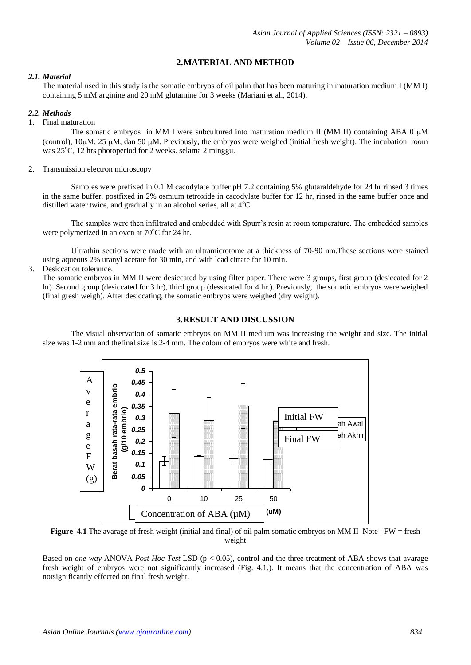# **2.MATERIAL AND METHOD**

#### *2.1. Material*

The material used in this study is the somatic embryos of oil palm that has been maturing in maturation medium I (MM I) containing 5 mM arginine and 20 mM glutamine for 3 weeks (Mariani et al., 2014).

## *2.2. Methods*

#### 1. Final maturation

The somatic embryos in MM I were subcultured into maturation medium II (MM II) containing ABA 0  $\mu$ M (control),  $10\mu$ M, 25  $\mu$ M, dan 50  $\mu$ M. Previously, the embryos were weighed (initial fresh weight). The incubation room was  $25^{\circ}$ C, 12 hrs photoperiod for 2 weeks. selama 2 minggu.

#### 2. Transmission electron microscopy

Samples were prefixed in 0.1 M cacodylate buffer pH 7.2 containing 5% glutaraldehyde for 24 hr rinsed 3 times in the same buffer, postfixed in 2% osmium tetroxide in cacodylate buffer for 12 hr, rinsed in the same buffer once and distilled water twice, and gradually in an alcohol series, all at  $4^{\circ}$ C.

The samples were then infiltrated and embedded with Spurr's resin at room temperature. The embedded samples were polymerized in an oven at  $70^{\circ}$ C for 24 hr.

Ultrathin sections were made with an ultramicrotome at a thickness of 70-90 nm.These sections were stained using aqueous 2% uranyl acetate for 30 min, and with lead citrate for 10 min.

#### 3. Desiccation tolerance.

The somatic embryos in MM II were desiccated by using filter paper. There were 3 groups, first group (desiccated for 2 hr). Second group (desiccated for 3 hr), third group (dessicated for 4 hr.). Previously, the somatic embryos were weighed (final gresh weigh). After desiccating, the somatic embryos were weighed (dry weight).

# **3.RESULT AND DISCUSSION**

The visual observation of somatic embryos on MM II medium was increasing the weight and size. The initial size was 1-2 mm and thefinal size is 2-4 mm. The colour of embryos were white and fresh.



**Figure 4.1** The avarage of fresh weight (initial and final) of oil palm somatic embryos on MM II Note : FW = fresh weight

Based on *one-way* ANOVA *Post Hoc Test* LSD (p < 0.05), control and the three treatment of ABA shows that avarage fresh weight of embryos were not significantly increased (Fig. 4.1.). It means that the concentration of ABA was notsignificantly effected on final fresh weight.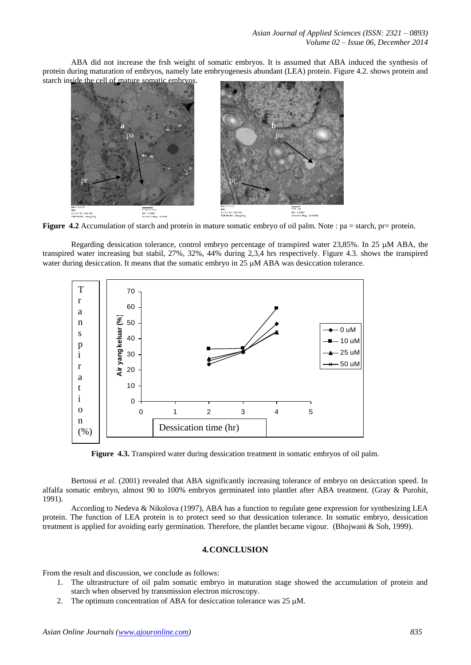ABA did not increase the frsh weight of somatic embryos. It is assumed that ABA induced the synthesis of protein during maturation of embryos, namely late embryogenesis abundant (LEA) protein. Figure 4.2. shows protein and



**Figure 4.2** Accumulation of starch and protein in mature somatic embryo of oil palm. Note : pa = starch, pr= protein.

Regarding dessication tolerance, control embryo percentage of transpired water 23,85%. In 25  $\mu$ M ABA, the transpired water increasing but stabil, 27%, 32%, 44% during 2,3,4 hrs respectively. Figure 4.3. shows the transpired water during desiccation. It means that the somatic embryo in 25  $\mu$ M ABA was desiccation tolerance.



**Figure 4.3.** Transpired water during dessication treatment in somatic embryos of oil palm.

Bertossi *et al.* (2001) revealed that ABA significantly increasing tolerance of embryo on desiccation speed. In alfalfa somatic embryo, almost 90 to 100% embryos germinated into plantlet after ABA treatment. (Gray & Purohit, 1991).

According to Nedeva & Nikolova (1997), ABA has a function to regulate gene expression for synthesizing LEA protein. The function of LEA protein is to protect seed so that dessication tolerance. In somatic embryo, dessication treatment is applied for avoiding early germination. Therefore, the plantlet became vigour. (Bhojwani & Soh, 1999).

#### **4.CONCLUSION**

From the result and discussion, we conclude as follows:

- 1. The ultrastructure of oil palm somatic embryo in maturation stage showed the accumulation of protein and starch when observed by transmission electron microscopy.
- 2. The optimum concentration of ABA for desiccation tolerance was 25  $\mu$ M.